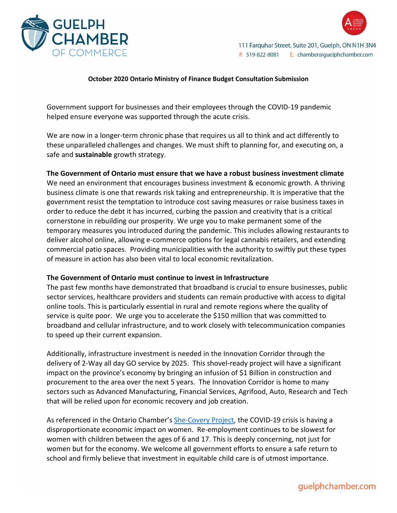



## **October 2020 Ontario Ministry of Finance Budget Consultation Submission**

Government support for businesses and their employees through the COVID-19 pandemic helped ensure everyone was supported through the acute crisis.

We are now in a longer-term chronic phase that requires us all to think and act differently to these unparalleled challenges and changes. We must shift to planning for, and executing on, a safe and **sustainable** growth strategy.

## **The Government of Ontario must ensure that we have a robust business investment climate**

We need an environment that encourages business investment & economic growth. A thriving business climate is one that rewards risk taking and entrepreneurship. It is imperative that the government resist the temptation to introduce cost saving measures or raise business taxes in order to reduce the debt it has incurred, curbing the passion and creativity that is a critical cornerstone in rebuilding our prosperity. We urge you to make permanent some of the temporary measures you introduced during the pandemic. This includes allowing restaurants to deliver alcohol online, allowing e-commerce options for legal cannabis retailers, and extending commercial patio spaces. Providing municipalities with the authority to swiftly put these types of measure in action has also been vital to local economic revitalization.

## **The Government of Ontario must continue to invest in Infrastructure**

The past few months have demonstrated that broadband is crucial to ensure businesses, public sector services, healthcare providers and students can remain productive with access to digital online tools. This is particularly essential in rural and remote regions where the quality of service is quite poor. We urge you to accelerate the \$150 million that was committed to broadband and cellular infrastructure, and to work closely with telecommunication companies to speed up their current expansion.

Additionally, infrastructure investment is needed in the Innovation Corridor through the delivery of 2-Way all day GO service by 2025. This shovel-ready project will have a significant impact on the province's economy by bringing an infusion of \$1 Billion in construction and procurement to the area over the next 5 years. The Innovation Corridor is home to many sectors such as Advanced Manufacturing, Financial Services, Agrifood, Auto, Research and Tech that will be relied upon for economic recovery and job creation.

As referenced in the Ontario Chamber's [She-Covery Project,](https://occ.ca/wp-content/uploads/OCC-shecovery-final.pdf) the COVID-19 crisis is having a disproportionate economic impact on women. Re-employment continues to be slowest for women with children between the ages of 6 and 17. This is deeply concerning, not just for women but for the economy. We welcome all government efforts to ensure a safe return to school and firmly believe that investment in equitable child care is of utmost importance.